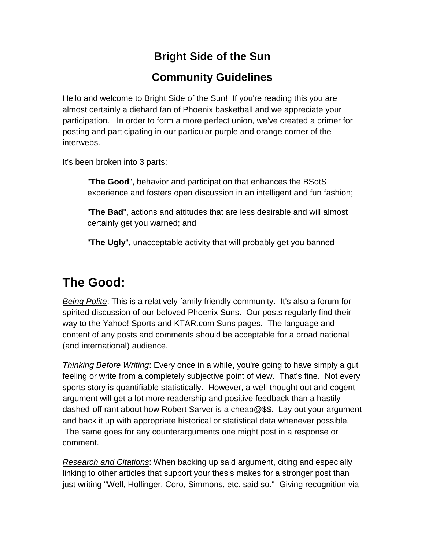#### **Bright Side of the Sun**

#### **Community Guidelines**

Hello and welcome to Bright Side of the Sun! If you're reading this you are almost certainly a diehard fan of Phoenix basketball and we appreciate your participation. In order to form a more perfect union, we've created a primer for posting and participating in our particular purple and orange corner of the interwebs.

It's been broken into 3 parts:

"**The Good**", behavior and participation that enhances the BSotS experience and fosters open discussion in an intelligent and fun fashion;

"**The Bad**", actions and attitudes that are less desirable and will almost certainly get you warned; and

"**The Ugly**", unacceptable activity that will probably get you banned

## **The Good:**

*Being Polite*: This is a relatively family friendly community. It's also a forum for spirited discussion of our beloved Phoenix Suns. Our posts regularly find their way to the Yahoo! Sports and KTAR.com Suns pages. The language and content of any posts and comments should be acceptable for a broad national (and international) audience.

*Thinking Before Writing*: Every once in a while, you're going to have simply a gut feeling or write from a completely subjective point of view. That's fine. Not every sports story is quantifiable statistically. However, a well-thought out and cogent argument will get a lot more readership and positive feedback than a hastily dashed-off rant about how Robert Sarver is a cheap@\$\$. Lay out your argument and back it up with appropriate historical or statistical data whenever possible. The same goes for any counterarguments one might post in a response or comment.

*Research and Citations*: When backing up said argument, citing and especially linking to other articles that support your thesis makes for a stronger post than just writing "Well, Hollinger, Coro, Simmons, etc. said so." Giving recognition via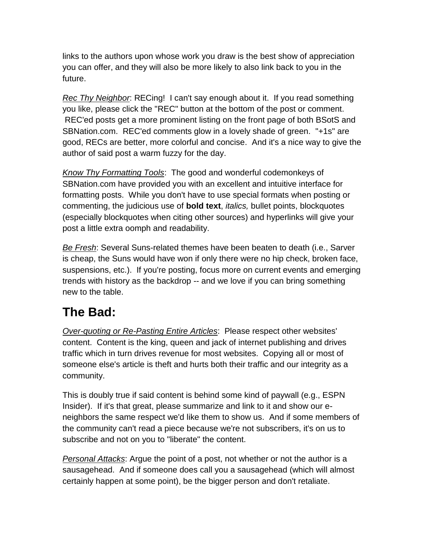links to the authors upon whose work you draw is the best show of appreciation you can offer, and they will also be more likely to also link back to you in the future.

*Rec Thy Neighbor*: RECing! I can't say enough about it. If you read something you like, please click the "REC" button at the bottom of the post or comment. REC'ed posts get a more prominent listing on the front page of both BSotS and SBNation.com. REC'ed comments glow in a lovely shade of green. "+1s" are good, RECs are better, more colorful and concise. And it's a nice way to give the author of said post a warm fuzzy for the day.

*Know Thy Formatting Tools*: The good and wonderful codemonkeys of SBNation.com have provided you with an excellent and intuitive interface for formatting posts. While you don't have to use special formats when posting or commenting, the judicious use of **bold text**, *italics,* bullet points, blockquotes (especially blockquotes when citing other sources) and hyperlinks will give your post a little extra oomph and readability.

*Be Fresh*: Several Suns-related themes have been beaten to death (i.e., Sarver is cheap, the Suns would have won if only there were no hip check, broken face, suspensions, etc.). If you're posting, focus more on current events and emerging trends with history as the backdrop -- and we love if you can bring something new to the table.

## **The Bad:**

*Over-quoting or Re-Pasting Entire Articles*: Please respect other websites' content. Content is the king, queen and jack of internet publishing and drives traffic which in turn drives revenue for most websites. Copying all or most of someone else's article is theft and hurts both their traffic and our integrity as a community.

This is doubly true if said content is behind some kind of paywall (e.g., ESPN Insider). If it's that great, please summarize and link to it and show our eneighbors the same respect we'd like them to show us. And if some members of the community can't read a piece because we're not subscribers, it's on us to subscribe and not on you to "liberate" the content.

*Personal Attacks*: Argue the point of a post, not whether or not the author is a sausagehead. And if someone does call you a sausagehead (which will almost certainly happen at some point), be the bigger person and don't retaliate.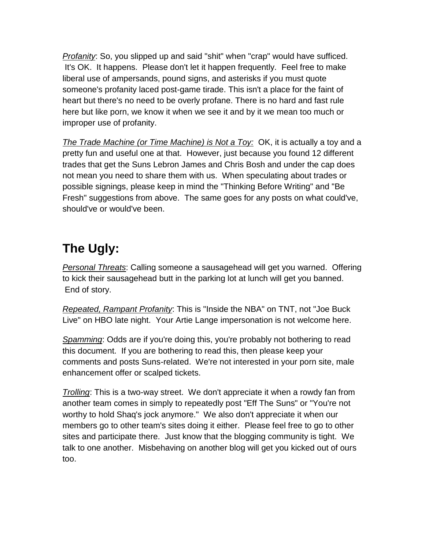*Profanity*: So, you slipped up and said "shit" when "crap" would have sufficed. It's OK. It happens. Please don't let it happen frequently. Feel free to make liberal use of ampersands, pound signs, and asterisks if you must quote someone's profanity laced post-game tirade. This isn't a place for the faint of heart but there's no need to be overly profane. There is no hard and fast rule here but like porn, we know it when we see it and by it we mean too much or improper use of profanity.

*The Trade Machine (or Time Machine) is Not a Toy:* OK, it is actually a toy and a pretty fun and useful one at that. However, just because you found 12 different trades that get the Suns Lebron James and Chris Bosh and under the cap does not mean you need to share them with us. When speculating about trades or possible signings, please keep in mind the "Thinking Before Writing" and "Be Fresh" suggestions from above. The same goes for any posts on what could've, should've or would've been.

# **The Ugly:**

*Personal Threats*: Calling someone a sausagehead will get you warned. Offering to kick their sausagehead butt in the parking lot at lunch will get you banned. End of story.

*Repeated, Rampant Profanity*: This is "Inside the NBA" on TNT, not "Joe Buck Live" on HBO late night. Your Artie Lange impersonation is not welcome here.

**Spamming:** Odds are if you're doing this, you're probably not bothering to read this document. If you are bothering to read this, then please keep your comments and posts Suns-related. We're not interested in your porn site, male enhancement offer or scalped tickets.

*Trolling*: This is a two-way street. We don't appreciate it when a rowdy fan from another team comes in simply to repeatedly post "Eff The Suns" or "You're not worthy to hold Shaq's jock anymore." We also don't appreciate it when our members go to other team's sites doing it either. Please feel free to go to other sites and participate there. Just know that the blogging community is tight. We talk to one another. Misbehaving on another blog will get you kicked out of ours too.